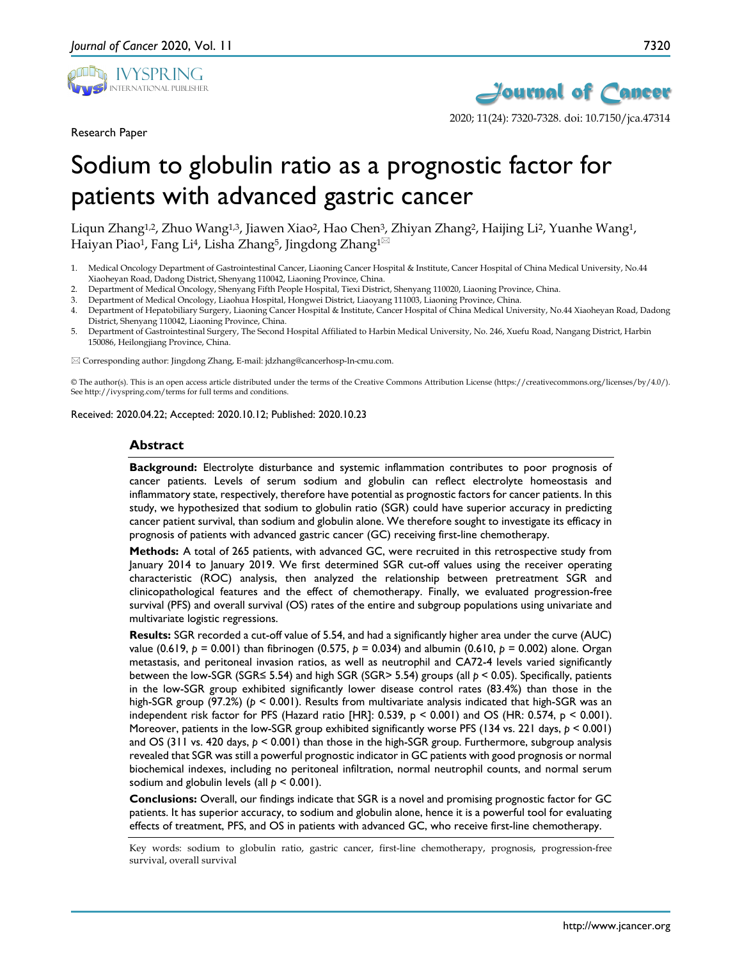

Research Paper



2020; 11(24): 7320-7328. doi: 10.7150/jca.47314

# Sodium to globulin ratio as a prognostic factor for patients with advanced gastric cancer

Liqun Zhang<sup>1,2</sup>, Zhuo Wang<sup>1,3</sup>, Jiawen Xiao<sup>2</sup>, Hao Chen<sup>3</sup>, Zhiyan Zhang<sup>2</sup>, Haijing Li<sup>2</sup>, Yuanhe Wang<sup>1</sup>, Haiyan Piao<sup>1</sup>, Fang Li<sup>4</sup>, Lisha Zhang<sup>5</sup>, Jingdong Zhang<sup>1 $\boxtimes$ </sup>

- 1. Medical Oncology Department of Gastrointestinal Cancer, Liaoning Cancer Hospital & Institute, Cancer Hospital of China Medical University, No.44 Xiaoheyan Road, Dadong District, Shenyang 110042, Liaoning Province, China.
- 2. Department of Medical Oncology, Shenyang Fifth People Hospital, Tiexi District, Shenyang 110020, Liaoning Province, China.
- 3. Department of Medical Oncology, Liaohua Hospital, Hongwei District, Liaoyang 111003, Liaoning Province, China.
- 4. Department of Hepatobiliary Surgery, Liaoning Cancer Hospital & Institute, Cancer Hospital of China Medical University, No.44 Xiaoheyan Road, Dadong District, Shenyang 110042, Liaoning Province, China.
- 5. Department of Gastrointestinal Surgery, The Second Hospital Affiliated to Harbin Medical University, No. 246, Xuefu Road, Nangang District, Harbin 150086, Heilongjiang Province, China.

Corresponding author: Jingdong Zhang, E-mail: jdzhang@cancerhosp-ln-cmu.com.

© The author(s). This is an open access article distributed under the terms of the Creative Commons Attribution License (https://creativecommons.org/licenses/by/4.0/). See http://ivyspring.com/terms for full terms and conditions.

Received: 2020.04.22; Accepted: 2020.10.12; Published: 2020.10.23

#### **Abstract**

**Background:** Electrolyte disturbance and systemic inflammation contributes to poor prognosis of cancer patients. Levels of serum sodium and globulin can reflect electrolyte homeostasis and inflammatory state, respectively, therefore have potential as prognostic factors for cancer patients. In this study, we hypothesized that sodium to globulin ratio (SGR) could have superior accuracy in predicting cancer patient survival, than sodium and globulin alone. We therefore sought to investigate its efficacy in prognosis of patients with advanced gastric cancer (GC) receiving first-line chemotherapy.

**Methods:** A total of 265 patients, with advanced GC, were recruited in this retrospective study from January 2014 to January 2019. We first determined SGR cut-off values using the receiver operating characteristic (ROC) analysis, then analyzed the relationship between pretreatment SGR and clinicopathological features and the effect of chemotherapy. Finally, we evaluated progression-free survival (PFS) and overall survival (OS) rates of the entire and subgroup populations using univariate and multivariate logistic regressions.

**Results:** SGR recorded a cut-off value of 5.54, and had a significantly higher area under the curve (AUC) value (0.619, *p* = 0.001) than fibrinogen (0.575, *p* = 0.034) and albumin (0.610, *p* = 0.002) alone. Organ metastasis, and peritoneal invasion ratios, as well as neutrophil and CA72-4 levels varied significantly between the low-SGR (SGR≤ 5.54) and high SGR (SGR> 5.54) groups (all *p* < 0.05). Specifically, patients in the low-SGR group exhibited significantly lower disease control rates (83.4%) than those in the high-SGR group (97.2%) (*p* < 0.001). Results from multivariate analysis indicated that high-SGR was an independent risk factor for PFS (Hazard ratio [HR]: 0.539,  $p < 0.001$ ) and OS (HR: 0.574,  $p < 0.001$ ). Moreover, patients in the low-SGR group exhibited significantly worse PFS (134 vs. 221 days, *p* < 0.001) and OS (311 vs. 420 days, *p* < 0.001) than those in the high-SGR group. Furthermore, subgroup analysis revealed that SGR was still a powerful prognostic indicator in GC patients with good prognosis or normal biochemical indexes, including no peritoneal infiltration, normal neutrophil counts, and normal serum sodium and globulin levels (all *p* < 0.001).

**Conclusions:** Overall, our findings indicate that SGR is a novel and promising prognostic factor for GC patients. It has superior accuracy, to sodium and globulin alone, hence it is a powerful tool for evaluating effects of treatment, PFS, and OS in patients with advanced GC, who receive first-line chemotherapy.

Key words: sodium to globulin ratio, gastric cancer, first-line chemotherapy, prognosis, progression-free survival, overall survival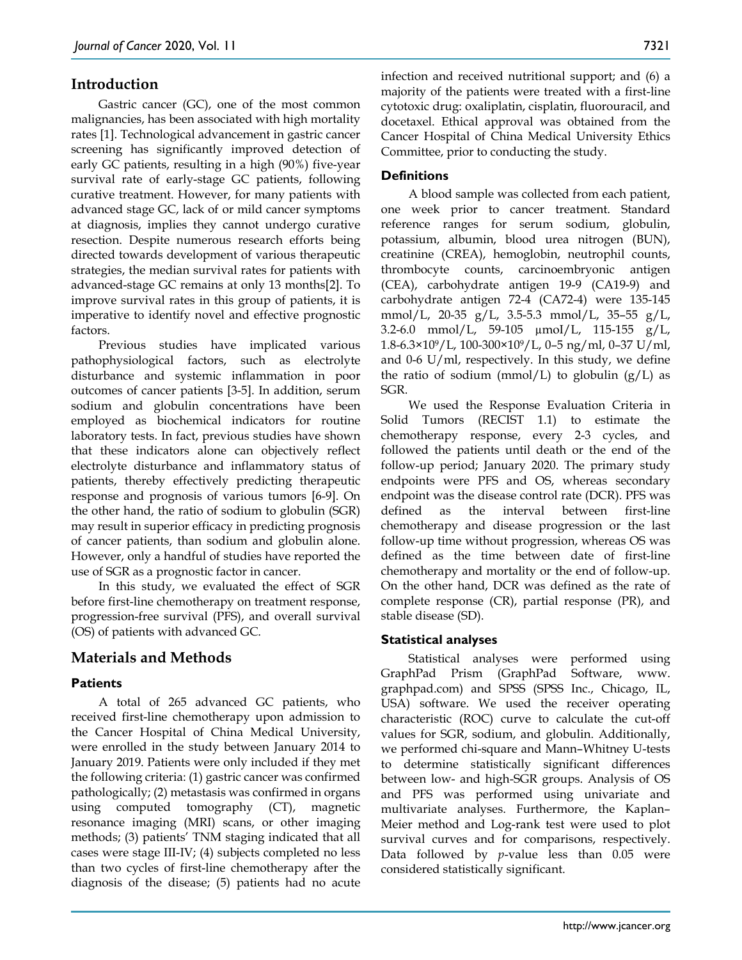# **Introduction**

Gastric cancer (GC), one of the most common malignancies, has been associated with high mortality rates [1]. Technological advancement in gastric cancer screening has significantly improved detection of early GC patients, resulting in a high (90%) five-year survival rate of early-stage GC patients, following curative treatment. However, for many patients with advanced stage GC, lack of or mild cancer symptoms at diagnosis, implies they cannot undergo curative resection. Despite numerous research efforts being directed towards development of various therapeutic strategies, the median survival rates for patients with advanced-stage GC remains at only 13 months[2]. To improve survival rates in this group of patients, it is imperative to identify novel and effective prognostic factors.

Previous studies have implicated various pathophysiological factors, such as electrolyte disturbance and systemic inflammation in poor outcomes of cancer patients [3-5]. In addition, serum sodium and globulin concentrations have been employed as biochemical indicators for routine laboratory tests. In fact, previous studies have shown that these indicators alone can objectively reflect electrolyte disturbance and inflammatory status of patients, thereby effectively predicting therapeutic response and prognosis of various tumors [6-9]. On the other hand, the ratio of sodium to globulin (SGR) may result in superior efficacy in predicting prognosis of cancer patients, than sodium and globulin alone. However, only a handful of studies have reported the use of SGR as a prognostic factor in cancer.

In this study, we evaluated the effect of SGR before first-line chemotherapy on treatment response, progression-free survival (PFS), and overall survival (OS) of patients with advanced GC.

# **Materials and Methods**

#### **Patients**

A total of 265 advanced GC patients, who received first-line chemotherapy upon admission to the Cancer Hospital of China Medical University, were enrolled in the study between January 2014 to January 2019. Patients were only included if they met the following criteria: (1) gastric cancer was confirmed pathologically; (2) metastasis was confirmed in organs using computed tomography (CT), magnetic resonance imaging (MRI) scans, or other imaging methods; (3) patients' TNM staging indicated that all cases were stage III-IV; (4) subjects completed no less than two cycles of first-line chemotherapy after the diagnosis of the disease; (5) patients had no acute

infection and received nutritional support; and (6) a majority of the patients were treated with a first-line cytotoxic drug: oxaliplatin, cisplatin, fluorouracil, and docetaxel. Ethical approval was obtained from the Cancer Hospital of China Medical University Ethics Committee, prior to conducting the study.

## **Definitions**

A blood sample was collected from each patient, one week prior to cancer treatment. Standard reference ranges for serum sodium, globulin, potassium, albumin, blood urea nitrogen (BUN), creatinine (CREA), hemoglobin, neutrophil counts, thrombocyte counts, carcinoembryonic antigen (CEA), carbohydrate antigen 19-9 (CA19-9) and carbohydrate antigen 72-4 (CA72-4) were 135-145 mmol/L, 20-35 g/L, 3.5-5.3 mmol/L, 35–55 g/L, 3.2-6.0 mmol/L, 59-105 µmoI/L, 115-155 g/L,  $1.8-6.3\times10^{9}/L$ ,  $100-300\times10^{9}/L$ , 0-5 ng/ml, 0-37 U/ml, and 0-6  $U/ml$ , respectively. In this study, we define the ratio of sodium (mmol/L) to globulin  $(g/L)$  as SGR.

We used the Response Evaluation Criteria in Solid Tumors (RECIST 1.1) to estimate the chemotherapy response, every 2-3 cycles, and followed the patients until death or the end of the follow-up period; January 2020. The primary study endpoints were PFS and OS, whereas secondary endpoint was the disease control rate (DCR). PFS was defined as the interval between first-line chemotherapy and disease progression or the last follow-up time without progression, whereas OS was defined as the time between date of first-line chemotherapy and mortality or the end of follow-up. On the other hand, DCR was defined as the rate of complete response (CR), partial response (PR), and stable disease (SD).

#### **Statistical analyses**

Statistical analyses were performed using GraphPad Prism (GraphPad Software, www. graphpad.com) and SPSS (SPSS Inc., Chicago, IL, USA) software. We used the receiver operating characteristic (ROC) curve to calculate the cut-off values for SGR, sodium, and globulin. Additionally, we performed chi-square and Mann–Whitney U-tests to determine statistically significant differences between low- and high-SGR groups. Analysis of OS and PFS was performed using univariate and multivariate analyses. Furthermore, the Kaplan– Meier method and Log-rank test were used to plot survival curves and for comparisons, respectively. Data followed by *p*-value less than 0.05 were considered statistically significant.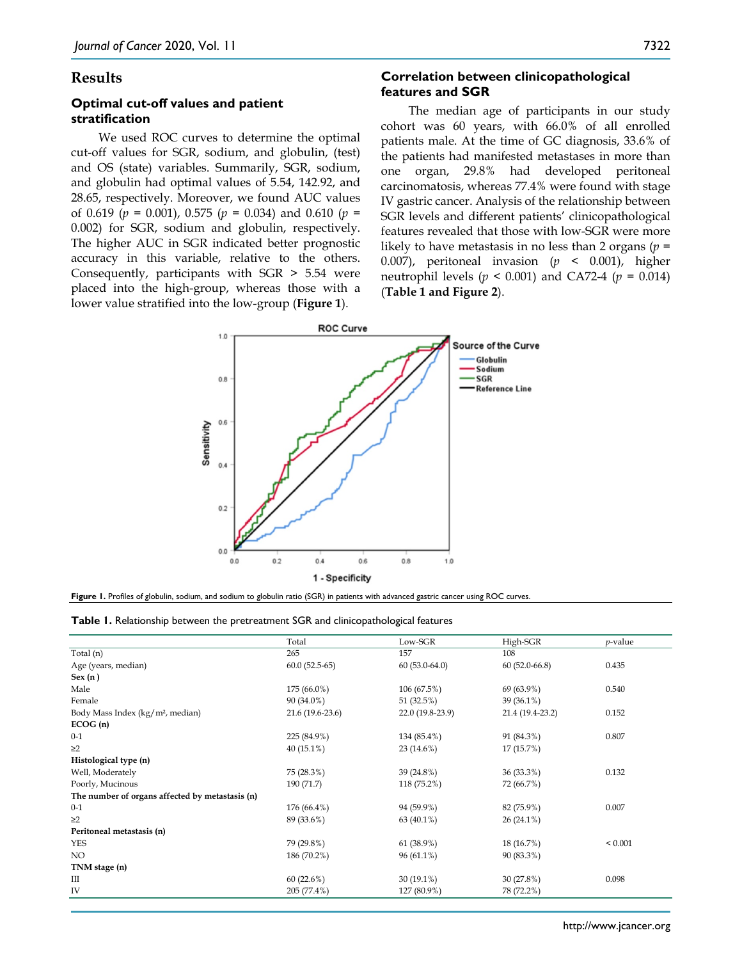#### **Results**

## **Optimal cut-off values and patient stratification**

We used ROC curves to determine the optimal cut-off values for SGR, sodium, and globulin, (test) and OS (state) variables. Summarily, SGR, sodium, and globulin had optimal values of 5.54, 142.92, and 28.65, respectively. Moreover, we found AUC values of 0.619 (*p* = 0.001), 0.575 (*p* = 0.034) and 0.610 (*p* = 0.002) for SGR, sodium and globulin, respectively. The higher AUC in SGR indicated better prognostic accuracy in this variable, relative to the others. Consequently, participants with SGR > 5.54 were placed into the high-group, whereas those with a lower value stratified into the low-group (**Figure 1**).

#### **Correlation between clinicopathological features and SGR**

The median age of participants in our study cohort was 60 years, with 66.0% of all enrolled patients male. At the time of GC diagnosis, 33.6% of the patients had manifested metastases in more than one organ, 29.8% had developed peritoneal carcinomatosis, whereas 77.4% were found with stage IV gastric cancer. Analysis of the relationship between SGR levels and different patients' clinicopathological features revealed that those with low-SGR were more likely to have metastasis in no less than 2 organs (*p* = 0.007), peritoneal invasion (*p* < 0.001), higher neutrophil levels ( $p < 0.001$ ) and CA72-4 ( $p = 0.014$ ) (**Table 1 and Figure 2**).



|  |  |  |  |  |  |  |  |  |  |  | Figure 1. Profiles of globulin, sodium, and sodium to globulin ratio (SGR) in patients with advanced gastric cancer using ROC curves. |
|--|--|--|--|--|--|--|--|--|--|--|---------------------------------------------------------------------------------------------------------------------------------------|
|--|--|--|--|--|--|--|--|--|--|--|---------------------------------------------------------------------------------------------------------------------------------------|

|  |  |  |  | Table 1. Relationship between the pretreatment SGR and clinicopathological features |  |
|--|--|--|--|-------------------------------------------------------------------------------------|--|
|--|--|--|--|-------------------------------------------------------------------------------------|--|

|                                                 | Total             | Low-SGR          | High-SGR         | $p$ -value  |
|-------------------------------------------------|-------------------|------------------|------------------|-------------|
| Total (n)                                       | 265               | 157              | 108              |             |
| Age (years, median)                             | $60.0(52.5-65)$   | $60(53.0-64.0)$  | $60(52.0-66.8)$  | 0.435       |
| Sex(n)                                          |                   |                  |                  |             |
| Male                                            | 175 (66.0%)       | 106 (67.5%)      | 69 (63.9%)       | 0.540       |
| Female                                          | 90 (34.0%)        | 51 (32.5%)       | $39(36.1\%)$     |             |
| Body Mass Index (kg/m <sup>2</sup> , median)    | $21.6(19.6-23.6)$ | 22.0 (19.8-23.9) | 21.4 (19.4-23.2) | 0.152       |
| ECOG(n)                                         |                   |                  |                  |             |
| $0 - 1$                                         | 225 (84.9%)       | 134 (85.4%)      | 91 (84.3%)       | 0.807       |
| $\geq$ 2                                        | $40(15.1\%)$      | $23(14.6\%)$     | 17 (15.7%)       |             |
| Histological type (n)                           |                   |                  |                  |             |
| Well, Moderately                                | 75 (28.3%)        | 39 (24.8%)       | 36 (33.3%)       | 0.132       |
| Poorly, Mucinous                                | 190 (71.7)        | 118 (75.2%)      | 72 (66.7%)       |             |
| The number of organs affected by metastasis (n) |                   |                  |                  |             |
| $0 - 1$                                         | 176 (66.4%)       | 94 (59.9%)       | 82 (75.9%)       | 0.007       |
| $\geq$ 2                                        | 89 (33.6%)        | $63(40.1\%)$     | $26(24.1\%)$     |             |
| Peritoneal metastasis (n)                       |                   |                  |                  |             |
| <b>YES</b>                                      | 79 (29.8%)        | 61 (38.9%)       | 18 (16.7%)       | ${}< 0.001$ |
| NO.                                             | 186 (70.2%)       | $96(61.1\%)$     | 90 (83.3%)       |             |
| TNM stage (n)                                   |                   |                  |                  |             |
| Ш                                               | 60(22.6%)         | $30(19.1\%)$     | 30(27.8%)        | 0.098       |
| IV                                              | 205 (77.4%)       | 127 (80.9%)      | 78 (72.2%)       |             |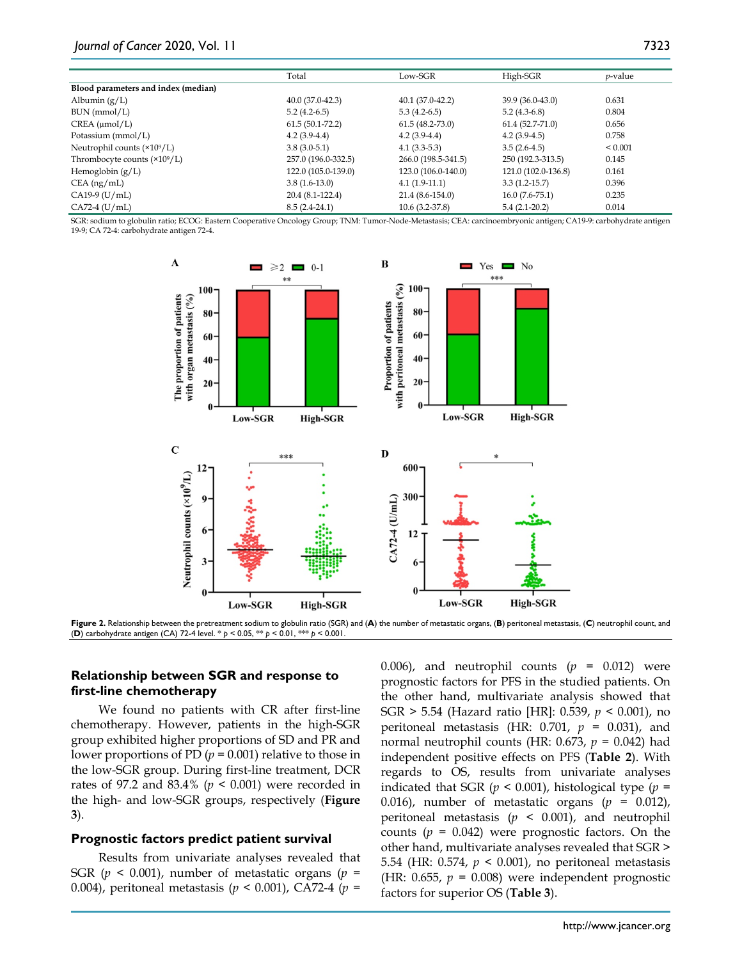|                                      | Total               | Low-SGR             | High-SGR            | <i>p</i> -value |
|--------------------------------------|---------------------|---------------------|---------------------|-----------------|
| Blood parameters and index (median)  |                     |                     |                     |                 |
| Albumin $(g/L)$                      | $40.0(37.0-42.3)$   | $40.1(37.0-42.2)$   | 39.9 (36.0-43.0)    | 0.631           |
| BUN (mmol/L)                         | $5.2(4.2-6.5)$      | $5.3(4.2-6.5)$      | $5.2(4.3-6.8)$      | 0.804           |
| CREA (µmol/L)                        | $61.5(50.1-72.2)$   | $61.5(48.2-73.0)$   | $61.4(52.7-71.0)$   | 0.656           |
| Potassium (mmol/L)                   | $4.2(3.9-4.4)$      | $4.2(3.9-4.4)$      | $4.2(3.9-4.5)$      | 0.758           |
| Neutrophil counts $(\times 10^9/L)$  | $3.8(3.0-5.1)$      | $4.1(3.3-5.3)$      | $3.5(2.6-4.5)$      | ${}_{0.001}$    |
| Thrombocyte counts $(\times 10^9/L)$ | 257.0 (196.0-332.5) | 266.0 (198.5-341.5) | 250 (192.3-313.5)   | 0.145           |
| Hemoglobin $(g/L)$                   | 122.0 (105.0-139.0) | 123.0 (106.0-140.0) | 121.0 (102.0-136.8) | 0.161           |
| $CEA$ (ng/mL)                        | $3.8(1.6-13.0)$     | $4.1(1.9-11.1)$     | $3.3(1.2 - 15.7)$   | 0.396           |
| $CA19-9$ (U/mL)                      | 20.4 (8.1-122.4)    | $21.4(8.6-154.0)$   | $16.0(7.6-75.1)$    | 0.235           |
| $CA72-4$ (U/mL)                      | $8.5(2.4-24.1)$     | $10.6(3.2-37.8)$    | $5.4(2.1-20.2)$     | 0.014           |

SGR: sodium to globulin ratio; ECOG: Eastern Cooperative Oncology Group; TNM: Tumor-Node-Metastasis; CEA: carcinoembryonic antigen; CA19-9: carbohydrate antigen 19-9; CA 72-4: carbohydrate antigen 72-4.



**Figure 2.** Relationship between the pretreatment sodium to globulin ratio (SGR) and (**A**) the number of metastatic organs, (**B**) peritoneal metastasis, (**C**) neutrophil count, and (**D**) carbohydrate antigen (CA) 72-4 level. \* *p* < 0.05, \*\* *p* < 0.01, \*\*\* *p* < 0.001.

#### **Relationship between SGR and response to first-line chemotherapy**

We found no patients with CR after first-line chemotherapy. However, patients in the high-SGR group exhibited higher proportions of SD and PR and lower proportions of PD  $(p = 0.001)$  relative to those in the low-SGR group. During first-line treatment, DCR rates of 97.2 and 83.4% (*p* < 0.001) were recorded in the high- and low-SGR groups, respectively (**Figure 3**).

#### **Prognostic factors predict patient survival**

Results from univariate analyses revealed that SGR  $(p \le 0.001)$ , number of metastatic organs  $(p =$ 0.004), peritoneal metastasis (*p* < 0.001), CA72-4 (*p* = 0.006), and neutrophil counts  $(p = 0.012)$  were prognostic factors for PFS in the studied patients. On the other hand, multivariate analysis showed that SGR > 5.54 (Hazard ratio [HR]: 0.539, *p* < 0.001), no peritoneal metastasis (HR:  $0.701$ ,  $p = 0.031$ ), and normal neutrophil counts (HR: 0.673, *p* = 0.042) had independent positive effects on PFS (**Table 2**). With regards to OS, results from univariate analyses indicated that SGR (*p* < 0.001), histological type (*p* = 0.016), number of metastatic organs  $(p = 0.012)$ , peritoneal metastasis (*p* < 0.001), and neutrophil counts  $(p = 0.042)$  were prognostic factors. On the other hand, multivariate analyses revealed that SGR > 5.54 (HR: 0.574, *p* < 0.001), no peritoneal metastasis (HR: 0.655,  $p = 0.008$ ) were independent prognostic factors for superior OS (**Table 3**).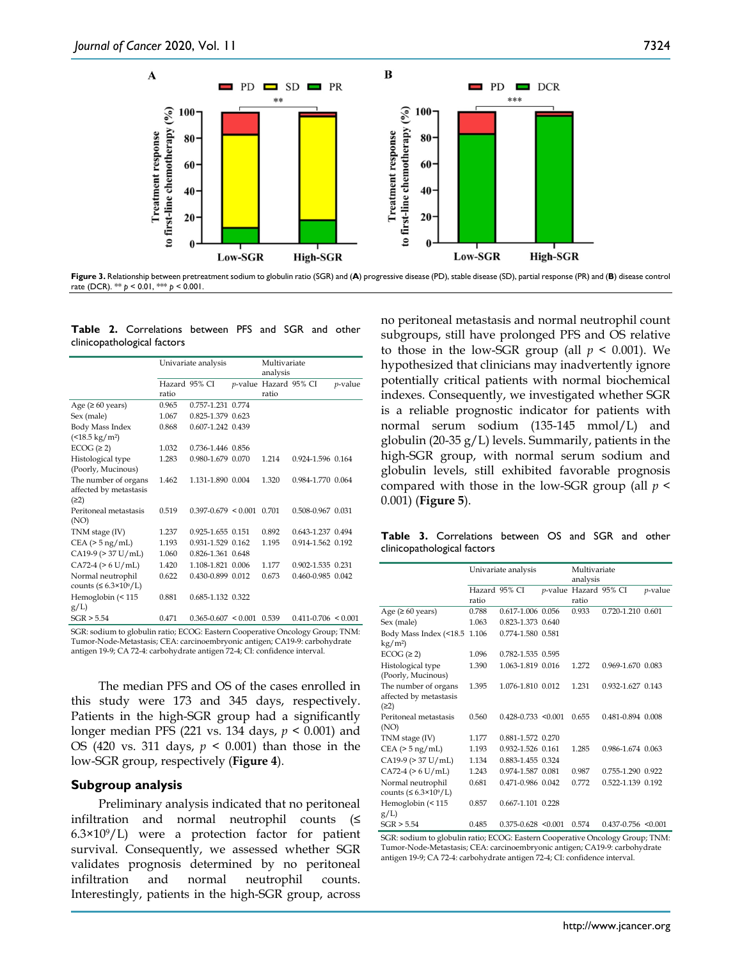

**Figure 3.** Relationship between pretreatment sodium to globulin ratio (SGR) and (**A**) progressive disease (PD), stable disease (SD), partial response (PR) and (**B**) disease control

rate (DCR). \*\* *p* < 0.01, \*\*\* *p* < 0.001.

**Table 2.** Correlations between PFS and SGR and other clinicopathological factors

|                                     | Univariate analysis |                           |  | Multivariate          |                                 |            |  |
|-------------------------------------|---------------------|---------------------------|--|-----------------------|---------------------------------|------------|--|
|                                     |                     |                           |  | analysis              |                                 |            |  |
|                                     | Hazard 95% CI       |                           |  | p-value Hazard 95% CI |                                 | $p$ -value |  |
|                                     | ratio               |                           |  | ratio                 |                                 |            |  |
| Age ( $\geq 60$ years)              | 0.965               | 0.757-1.231 0.774         |  |                       |                                 |            |  |
| Sex (male)                          | 1.067               | 0.825-1.379 0.623         |  |                       |                                 |            |  |
| Body Mass Index                     | 0.868               | 0.607-1.242 0.439         |  |                       |                                 |            |  |
| $($ < 18.5 kg/m <sup>2</sup> $)$    |                     |                           |  |                       |                                 |            |  |
| $ECOG \, (\geq 2)$                  | 1.032               | 0.736-1.446 0.856         |  |                       |                                 |            |  |
| Histological type                   | 1.283               | 0.980-1.679 0.070         |  | 1.214                 | 0.924-1.596 0.164               |            |  |
| (Poorly, Mucinous)                  |                     |                           |  |                       |                                 |            |  |
| The number of organs                | 1.462               | 1.131-1.890 0.004         |  | 1.320                 | 0.984-1.770 0.064               |            |  |
| affected by metastasis              |                     |                           |  |                       |                                 |            |  |
| (22)                                |                     |                           |  |                       |                                 |            |  |
| Peritoneal metastasis               | 0.519               | $0.397 - 0.679 \le 0.001$ |  | 0.701                 | 0.508-0.967 0.031               |            |  |
| (NO)                                |                     |                           |  |                       |                                 |            |  |
| TNM stage (IV)                      | 1.237               | 0.925-1.655 0.151         |  | 0.892                 | 0.643-1.237 0.494               |            |  |
| CEA (> 5 ng/mL)                     | 1.193               | 0.931-1.529 0.162         |  | 1.195                 | 0.914-1.562 0.192               |            |  |
| $CA19-9$ ( $>37$ U/mL)              | 1.060               | 0.826-1.361 0.648         |  |                       |                                 |            |  |
| $CA72-4 (> 6 U/mL)$                 | 1.420               | 1.108-1.821 0.006         |  | 1.177                 | 0.902-1.535 0.231               |            |  |
| Normal neutrophil                   | 0.622               | 0.430-0.899 0.012         |  | 0.673                 | 0.460-0.985 0.042               |            |  |
| counts ( $\leq 6.3 \times 10^9$ /L) |                     |                           |  |                       |                                 |            |  |
| Hemoglobin (< 115                   | 0.881               | 0.685-1.132 0.322         |  |                       |                                 |            |  |
| g/L                                 |                     |                           |  |                       |                                 |            |  |
| CCD > 5.54                          | 0.471               | 0.3650607 < 0.0010520     |  |                       | $0.411 \times 706 \times 0.001$ |            |  |

SGR > 5.54 0.471 0.365-0.607 < 0.001 0.539 0.411-0.706 < 0.001 SGR: sodium to globulin ratio; ECOG: Eastern Cooperative Oncology Group; TNM: Tumor-Node-Metastasis; CEA: carcinoembryonic antigen; CA19-9: carbohydrate antigen 19-9; CA 72-4: carbohydrate antigen 72-4; CI: confidence interval.

The median PFS and OS of the cases enrolled in this study were 173 and 345 days, respectively. Patients in the high-SGR group had a significantly longer median PFS (221 vs. 134 days, *p* < 0.001) and OS (420 vs. 311 days, *p* < 0.001) than those in the low-SGR group, respectively (**Figure 4**).

#### **Subgroup analysis**

Preliminary analysis indicated that no peritoneal infiltration and normal neutrophil counts (≤  $6.3\times10^{9}$ /L) were a protection factor for patient survival. Consequently, we assessed whether SGR validates prognosis determined by no peritoneal infiltration and normal neutrophil counts. Interestingly, patients in the high-SGR group, across

no peritoneal metastasis and normal neutrophil count subgroups, still have prolonged PFS and OS relative to those in the low-SGR group (all  $p < 0.001$ ). We hypothesized that clinicians may inadvertently ignore potentially critical patients with normal biochemical indexes. Consequently, we investigated whether SGR is a reliable prognostic indicator for patients with normal serum sodium (135-145 mmol/L) and globulin (20-35 g/L) levels. Summarily, patients in the high-SGR group, with normal serum sodium and globulin levels, still exhibited favorable prognosis compared with those in the low-SGR group (all *p* < 0.001) (**Figure 5**).

**Table 3.** Correlations between OS and SGR and other clinicopathological factors

|                                                          | Univariate analysis    |                                             |        | Multivariate<br>analysis       |                         |                 |  |
|----------------------------------------------------------|------------------------|---------------------------------------------|--------|--------------------------------|-------------------------|-----------------|--|
|                                                          | Hazard 95% CI<br>ratio |                                             |        | p-value Hazard 95% CI<br>ratio |                         | <i>p</i> -value |  |
| Age ( $\geq 60$ years)                                   | 0.788                  | 0.617-1.006 0.056                           |        | 0.933                          | 0.720-1.210 0.601       |                 |  |
| Sex (male)                                               | 1.063                  | 0.823-1.373 0.640                           |        |                                |                         |                 |  |
| Body Mass Index (<18.5<br>$\text{kg}/\text{m}^2$         | 1.106                  | 0.774-1.580 0.581                           |        |                                |                         |                 |  |
| ECOG (≥ 2)                                               | 1.096                  | 0.782-1.535 0.595                           |        |                                |                         |                 |  |
| Histological type<br>(Poorly, Mucinous)                  | 1.390                  | 1.063-1.819 0.016                           |        | 1.272                          | 0.969-1.670 0.083       |                 |  |
| The number of organs<br>affected by metastasis<br>(22)   | 1.395                  | 1.076-1.810 0.012                           |        | 1.231                          | 0.932-1.627 0.143       |                 |  |
| Peritoneal metastasis<br>(NO)                            | 0.560                  | $0.428 - 0.733$ < 0.001                     |        | 0.655                          | 0.481-0.894 0.008       |                 |  |
| TNM stage (IV)                                           | 1.177                  | 0.881-1.572 0.270                           |        |                                |                         |                 |  |
| $CEA (> 5$ ng/mL)                                        | 1.193                  | 0.932-1.526 0.161                           |        | 1.285                          | 0.986-1.674 0.063       |                 |  |
| $CA19-9$ ( $> 37$ U/mL)                                  | 1.134                  | 0.883-1.455 0.324                           |        |                                |                         |                 |  |
| $CA72-4 (> 6 U/mL)$                                      | 1.243                  | 0.974-1.587 0.081                           |        | 0.987                          | 0.755-1.290 0.922       |                 |  |
| Normal neutrophil<br>counts ( $\leq 6.3 \times 10^9$ /L) | 0.681                  | 0.471-0.986 0.042                           |        | 0.772                          | 0.522-1.139 0.192       |                 |  |
| Hemoglobin (< 115<br>$g/L$ )                             | 0.857                  | 0.667-1.101 0.228                           |        |                                |                         |                 |  |
| SGR > 5.54                                               | 0.485                  | $0.375 - 0.628$ < 0.001                     |        | 0.574                          | $0.437 - 0.756$ < 0.001 |                 |  |
| $\sim$                                                   |                        | $\mathbf{u}$ moon $\mathbf{v}$ $\mathbf{v}$ | $\sim$ |                                |                         |                 |  |

SGR: sodium to globulin ratio; ECOG: Eastern Cooperative Oncology Group; TNM: Tumor-Node-Metastasis; CEA: carcinoembryonic antigen; CA19-9: carbohydrate antigen 19-9; CA 72-4: carbohydrate antigen 72-4; CI: confidence interval.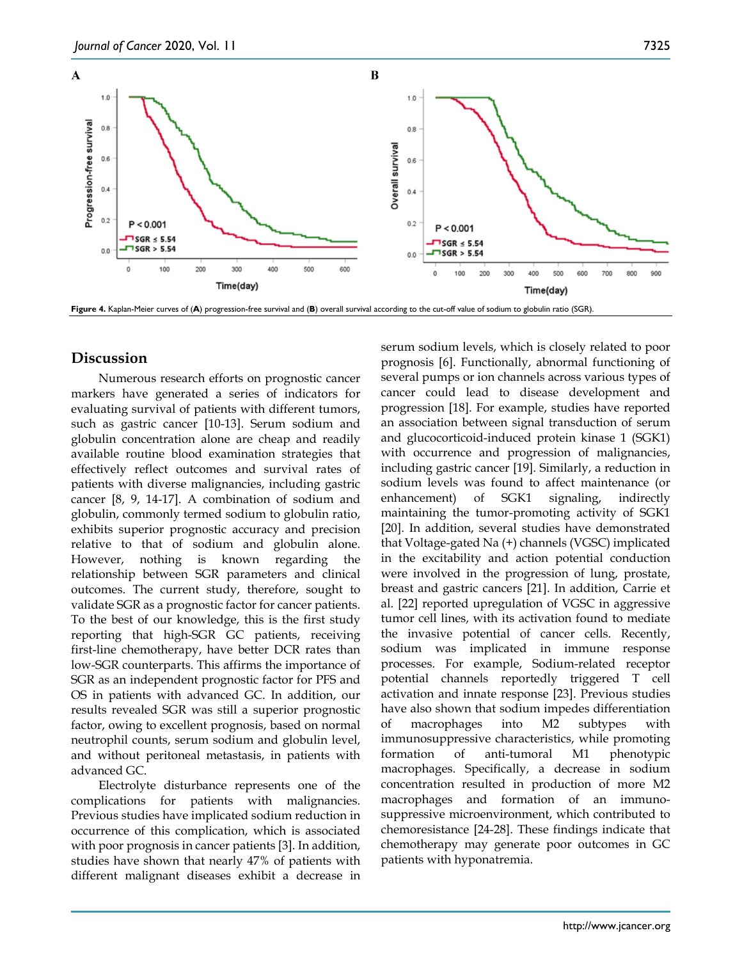

## **Discussion**

Numerous research efforts on prognostic cancer markers have generated a series of indicators for evaluating survival of patients with different tumors, such as gastric cancer [10-13]. Serum sodium and globulin concentration alone are cheap and readily available routine blood examination strategies that effectively reflect outcomes and survival rates of patients with diverse malignancies, including gastric cancer [8, 9, 14-17]. A combination of sodium and globulin, commonly termed sodium to globulin ratio, exhibits superior prognostic accuracy and precision relative to that of sodium and globulin alone. However, nothing is known regarding the relationship between SGR parameters and clinical outcomes. The current study, therefore, sought to validate SGR as a prognostic factor for cancer patients. To the best of our knowledge, this is the first study reporting that high-SGR GC patients, receiving first-line chemotherapy, have better DCR rates than low-SGR counterparts. This affirms the importance of SGR as an independent prognostic factor for PFS and OS in patients with advanced GC. In addition, our results revealed SGR was still a superior prognostic factor, owing to excellent prognosis, based on normal neutrophil counts, serum sodium and globulin level, and without peritoneal metastasis, in patients with advanced GC.

Electrolyte disturbance represents one of the complications for patients with malignancies. Previous studies have implicated sodium reduction in occurrence of this complication, which is associated with poor prognosis in cancer patients [3]. In addition, studies have shown that nearly 47% of patients with different malignant diseases exhibit a decrease in serum sodium levels, which is closely related to poor prognosis [6]. Functionally, abnormal functioning of several pumps or ion channels across various types of cancer could lead to disease development and progression [18]. For example, studies have reported an association between signal transduction of serum and glucocorticoid-induced protein kinase 1 (SGK1) with occurrence and progression of malignancies, including gastric cancer [19]. Similarly, a reduction in sodium levels was found to affect maintenance (or enhancement) of SGK1 signaling, indirectly maintaining the tumor-promoting activity of SGK1 [20]. In addition, several studies have demonstrated that Voltage-gated Na (+) channels (VGSC) implicated in the excitability and action potential conduction were involved in the progression of lung, prostate, breast and gastric cancers [21]. In addition, Carrie et al. [22] reported upregulation of VGSC in aggressive tumor cell lines, with its activation found to mediate the invasive potential of cancer cells. Recently, sodium was implicated in immune response processes. For example, Sodium-related receptor potential channels reportedly triggered T cell activation and innate response [23]. Previous studies have also shown that sodium impedes differentiation of macrophages into M2 subtypes with immunosuppressive characteristics, while promoting formation of anti-tumoral M1 phenotypic macrophages. Specifically, a decrease in sodium concentration resulted in production of more M2 macrophages and formation of an immunosuppressive microenvironment, which contributed to chemoresistance [24-28]. These findings indicate that chemotherapy may generate poor outcomes in GC patients with hyponatremia.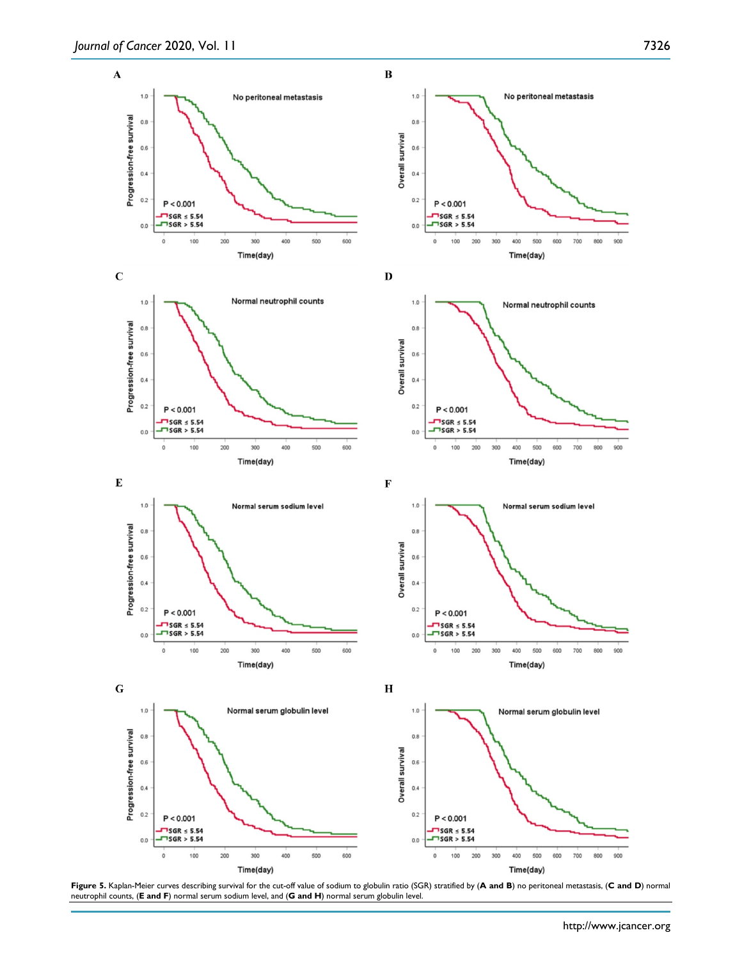















 $1.0$ Normal serum globulin level  $_{0.8}$ Overall survival  $0.6\,$  $0.4\,$  $0.2$  $P < 0.001$ 

500

Time(day)

600

700 800

 $-$  SGR  $\leq$  5.54<br> $-$  SGR > 5.54

100

200 300 400

 $\mathsf 0$ 

 $0.0$ 



 $\bf H$ 

900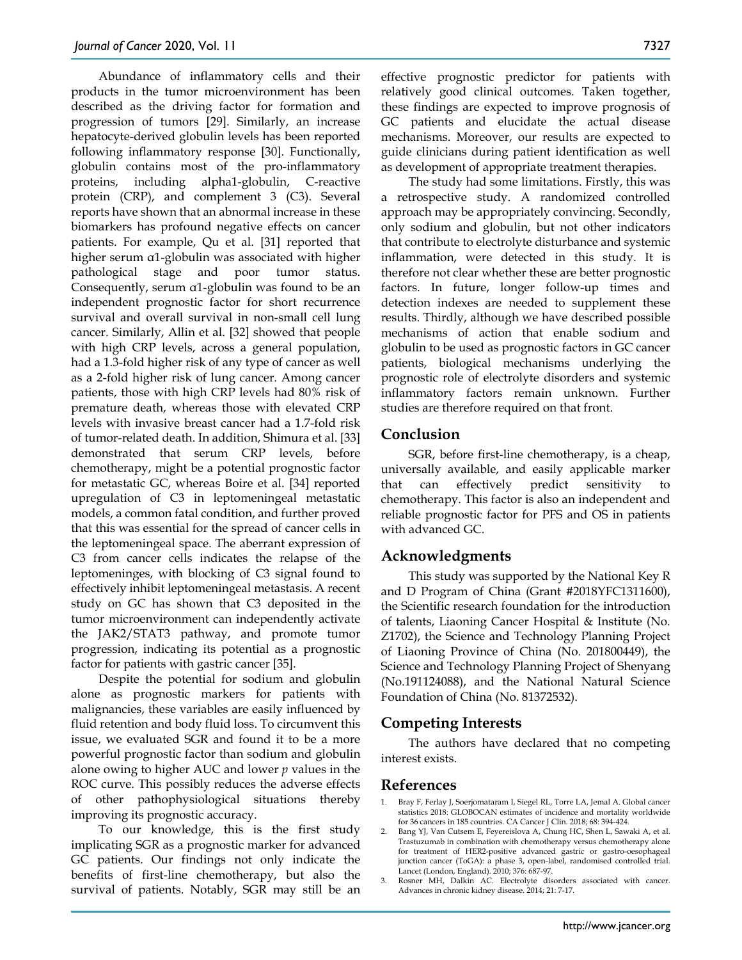Abundance of inflammatory cells and their products in the tumor microenvironment has been described as the driving factor for formation and progression of tumors [29]. Similarly, an increase hepatocyte-derived globulin levels has been reported following inflammatory response [30]. Functionally, globulin contains most of the pro-inflammatory proteins, including alpha1-globulin, C-reactive protein (CRP), and complement 3 (C3). Several reports have shown that an abnormal increase in these biomarkers has profound negative effects on cancer patients. For example, Qu et al. [31] reported that higher serum α1-globulin was associated with higher pathological stage and poor tumor status. Consequently, serum α1-globulin was found to be an independent prognostic factor for short recurrence survival and overall survival in non-small cell lung cancer. Similarly, Allin et al. [32] showed that people with high CRP levels, across a general population, had a 1.3-fold higher risk of any type of cancer as well as a 2-fold higher risk of lung cancer. Among cancer patients, those with high CRP levels had 80% risk of premature death, whereas those with elevated CRP levels with invasive breast cancer had a 1.7-fold risk of tumor-related death. In addition, Shimura et al. [33] demonstrated that serum CRP levels, before chemotherapy, might be a potential prognostic factor for metastatic GC, whereas Boire et al. [34] reported upregulation of C3 in leptomeningeal metastatic models, a common fatal condition, and further proved that this was essential for the spread of cancer cells in the leptomeningeal space. The aberrant expression of C3 from cancer cells indicates the relapse of the leptomeninges, with blocking of C3 signal found to effectively inhibit leptomeningeal metastasis. A recent study on GC has shown that C3 deposited in the tumor microenvironment can independently activate the JAK2/STAT3 pathway, and promote tumor progression, indicating its potential as a prognostic factor for patients with gastric cancer [35].

Despite the potential for sodium and globulin alone as prognostic markers for patients with malignancies, these variables are easily influenced by fluid retention and body fluid loss. To circumvent this issue, we evaluated SGR and found it to be a more powerful prognostic factor than sodium and globulin alone owing to higher AUC and lower *p* values in the ROC curve. This possibly reduces the adverse effects of other pathophysiological situations thereby improving its prognostic accuracy.

To our knowledge, this is the first study implicating SGR as a prognostic marker for advanced GC patients. Our findings not only indicate the benefits of first-line chemotherapy, but also the survival of patients. Notably, SGR may still be an

effective prognostic predictor for patients with relatively good clinical outcomes. Taken together, these findings are expected to improve prognosis of GC patients and elucidate the actual disease mechanisms. Moreover, our results are expected to guide clinicians during patient identification as well as development of appropriate treatment therapies.

The study had some limitations. Firstly, this was a retrospective study. A randomized controlled approach may be appropriately convincing. Secondly, only sodium and globulin, but not other indicators that contribute to electrolyte disturbance and systemic inflammation, were detected in this study. It is therefore not clear whether these are better prognostic factors. In future, longer follow-up times and detection indexes are needed to supplement these results. Thirdly, although we have described possible mechanisms of action that enable sodium and globulin to be used as prognostic factors in GC cancer patients, biological mechanisms underlying the prognostic role of electrolyte disorders and systemic inflammatory factors remain unknown. Further studies are therefore required on that front.

## **Conclusion**

SGR, before first-line chemotherapy, is a cheap, universally available, and easily applicable marker that can effectively predict sensitivity to chemotherapy. This factor is also an independent and reliable prognostic factor for PFS and OS in patients with advanced GC.

# **Acknowledgments**

This study was supported by the National Key R and D Program of China (Grant #2018YFC1311600), the Scientific research foundation for the introduction of talents, Liaoning Cancer Hospital & Institute (No. Z1702), the Science and Technology Planning Project of Liaoning Province of China (No. 201800449), the Science and Technology Planning Project of Shenyang (No.191124088), and the National Natural Science Foundation of China (No. 81372532).

# **Competing Interests**

The authors have declared that no competing interest exists.

#### **References**

- 1. Bray F, Ferlay J, Soerjomataram I, Siegel RL, Torre LA, Jemal A. Global cancer statistics 2018: GLOBOCAN estimates of incidence and mortality worldwide for 36 cancers in 185 countries. CA Cancer J Clin. 2018; 68: 394-424.
- 2. Bang YJ, Van Cutsem E, Feyereislova A, Chung HC, Shen L, Sawaki A, et al. Trastuzumab in combination with chemotherapy versus chemotherapy alone for treatment of HER2-positive advanced gastric or gastro-oesophageal junction cancer (ToGA): a phase 3, open-label, randomised controlled trial. Lancet (London, England). 2010; 376: 687-97.
- 3. Rosner MH, Dalkin AC. Electrolyte disorders associated with cancer. Advances in chronic kidney disease. 2014; 21: 7-17.